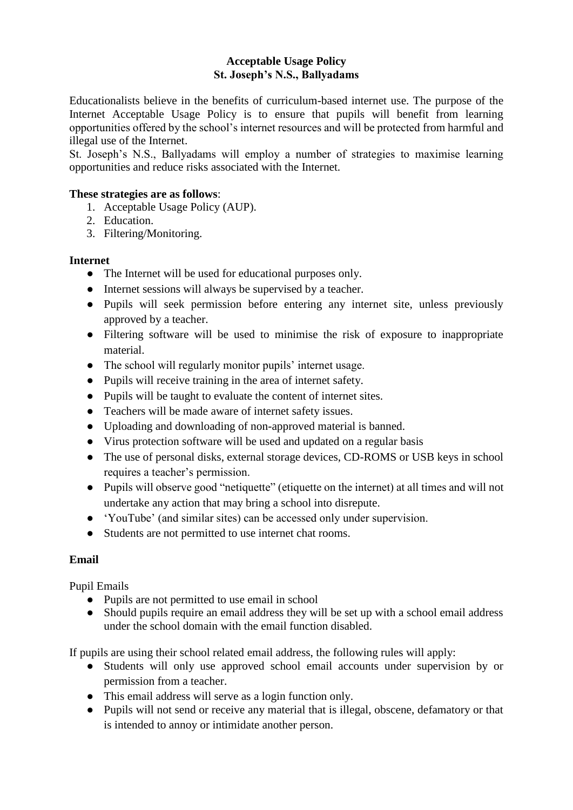# **Acceptable Usage Policy St. Joseph's N.S., Ballyadams**

Educationalists believe in the benefits of curriculum-based internet use. The purpose of the Internet Acceptable Usage Policy is to ensure that pupils will benefit from learning opportunities offered by the school's internet resources and will be protected from harmful and illegal use of the Internet.

St. Joseph's N.S., Ballyadams will employ a number of strategies to maximise learning opportunities and reduce risks associated with the Internet.

### **These strategies are as follows**:

- 1. Acceptable Usage Policy (AUP).
- 2. Education.
- 3. Filtering/Monitoring.

### **Internet**

- The Internet will be used for educational purposes only.
- Internet sessions will always be supervised by a teacher.
- Pupils will seek permission before entering any internet site, unless previously approved by a teacher.
- Filtering software will be used to minimise the risk of exposure to inappropriate material.
- The school will regularly monitor pupils' internet usage.
- Pupils will receive training in the area of internet safety.
- Pupils will be taught to evaluate the content of internet sites.
- Teachers will be made aware of internet safety issues.
- Uploading and downloading of non-approved material is banned.
- Virus protection software will be used and updated on a regular basis
- The use of personal disks, external storage devices, CD-ROMS or USB keys in school requires a teacher's permission.
- Pupils will observe good "netiquette" (etiquette on the internet) at all times and will not undertake any action that may bring a school into disrepute.
- 'YouTube' (and similar sites) can be accessed only under supervision.
- Students are not permitted to use internet chat rooms.

# **Email**

Pupil Emails

- Pupils are not permitted to use email in school
- Should pupils require an email address they will be set up with a school email address under the school domain with the email function disabled.

If pupils are using their school related email address, the following rules will apply:

- Students will only use approved school email accounts under supervision by or permission from a teacher.
- This email address will serve as a login function only.
- Pupils will not send or receive any material that is illegal, obscene, defamatory or that is intended to annoy or intimidate another person.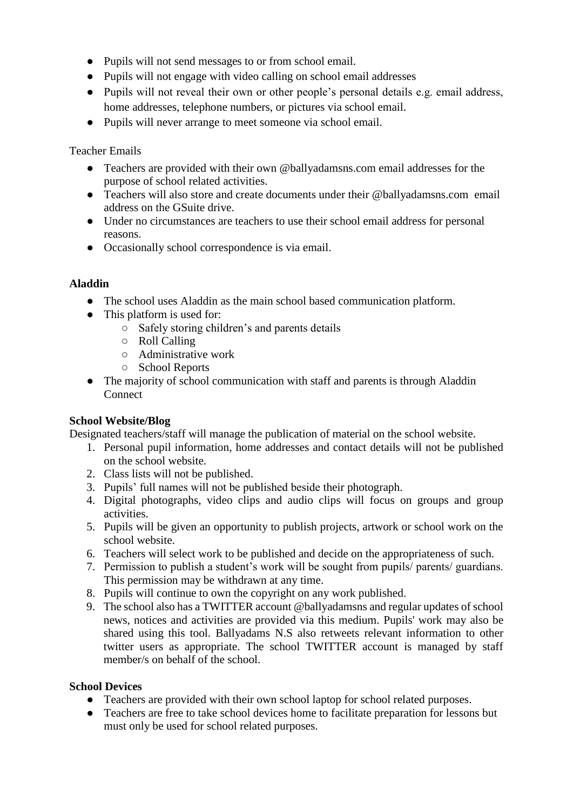- Pupils will not send messages to or from school email.
- Pupils will not engage with video calling on school email addresses
- Pupils will not reveal their own or other people's personal details e.g. email address, home addresses, telephone numbers, or pictures via school email.
- Pupils will never arrange to meet someone via school email.

# Teacher Emails

- Teachers are provided with their own @ballyadamsns.com email addresses for the purpose of school related activities.
- Teachers will also store and create documents under their @ballyadamsns.com email address on the GSuite drive.
- Under no circumstances are teachers to use their school email address for personal reasons.
- Occasionally school correspondence is via email.

# **Aladdin**

- The school uses Aladdin as the main school based communication platform.
- This platform is used for:
	- Safely storing children's and parents details
	- Roll Calling
	- Administrative work
	- School Reports
- The majority of school communication with staff and parents is through Aladdin Connect

# **School Website/Blog**

Designated teachers/staff will manage the publication of material on the school website.

- 1. Personal pupil information, home addresses and contact details will not be published on the school website.
- 2. Class lists will not be published.
- 3. Pupils' full names will not be published beside their photograph.
- 4. Digital photographs, video clips and audio clips will focus on groups and group activities.
- 5. Pupils will be given an opportunity to publish projects, artwork or school work on the school website.
- 6. Teachers will select work to be published and decide on the appropriateness of such.
- 7. Permission to publish a student's work will be sought from pupils/ parents/ guardians. This permission may be withdrawn at any time.
- 8. Pupils will continue to own the copyright on any work published.
- 9. The school also has a TWITTER account @ballyadamsns and regular updates of school news, notices and activities are provided via this medium. Pupils' work may also be shared using this tool. Ballyadams N.S also retweets relevant information to other twitter users as appropriate. The school TWITTER account is managed by staff member/s on behalf of the school.

# **School Devices**

- Teachers are provided with their own school laptop for school related purposes.
- Teachers are free to take school devices home to facilitate preparation for lessons but must only be used for school related purposes.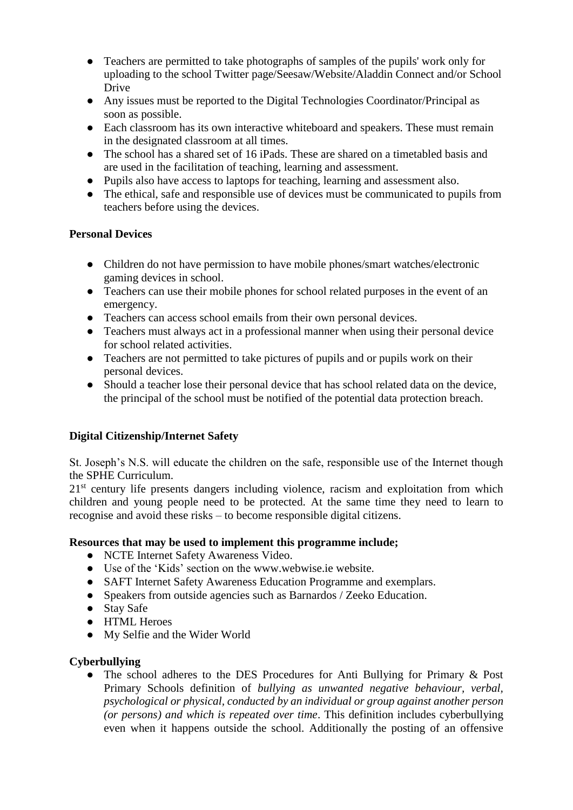- Teachers are permitted to take photographs of samples of the pupils' work only for uploading to the school Twitter page/Seesaw/Website/Aladdin Connect and/or School Drive
- Any issues must be reported to the Digital Technologies Coordinator/Principal as soon as possible.
- Each classroom has its own interactive whiteboard and speakers. These must remain in the designated classroom at all times.
- The school has a shared set of 16 iPads. These are shared on a timetabled basis and are used in the facilitation of teaching, learning and assessment.
- Pupils also have access to laptops for teaching, learning and assessment also.
- The ethical, safe and responsible use of devices must be communicated to pupils from teachers before using the devices.

# **Personal Devices**

- Children do not have permission to have mobile phones/smart watches/electronic gaming devices in school.
- Teachers can use their mobile phones for school related purposes in the event of an emergency.
- Teachers can access school emails from their own personal devices.
- Teachers must always act in a professional manner when using their personal device for school related activities.
- Teachers are not permitted to take pictures of pupils and or pupils work on their personal devices.
- Should a teacher lose their personal device that has school related data on the device, the principal of the school must be notified of the potential data protection breach.

# **Digital Citizenship/Internet Safety**

St. Joseph's N.S. will educate the children on the safe, responsible use of the Internet though the SPHE Curriculum.

21<sup>st</sup> century life presents dangers including violence, racism and exploitation from which children and young people need to be protected. At the same time they need to learn to recognise and avoid these risks – to become responsible digital citizens.

# **Resources that may be used to implement this programme include;**

- NCTE Internet Safety Awareness Video.
- Use of the 'Kids' section on the [www.webwise.ie](about:blank) website.
- SAFT Internet Safety Awareness Education Programme and exemplars.
- Speakers from outside agencies such as Barnardos / Zeeko Education.
- Stay Safe
- HTML Heroes
- My Selfie and the Wider World

# **Cyberbullying**

• The school adheres to the DES Procedures for Anti Bullying for Primary & Post Primary Schools definition of *bullying as unwanted negative behaviour, verbal, psychological or physical, conducted by an individual or group against another person (or persons) and which is repeated over time*. This definition includes cyberbullying even when it happens outside the school. Additionally the posting of an offensive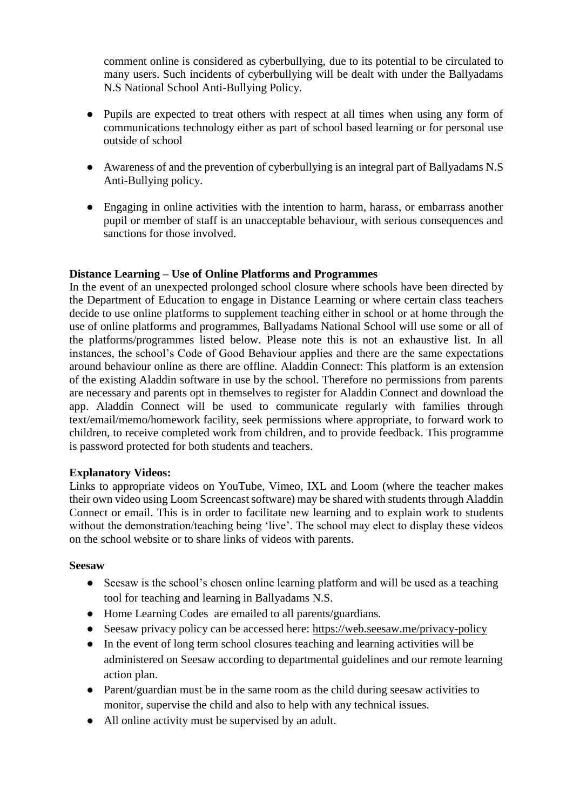comment online is considered as cyberbullying, due to its potential to be circulated to many users. Such incidents of cyberbullying will be dealt with under the Ballyadams N.S National School Anti-Bullying Policy.

- Pupils are expected to treat others with respect at all times when using any form of communications technology either as part of school based learning or for personal use outside of school
- Awareness of and the prevention of cyberbullying is an integral part of Ballyadams N.S Anti-Bullying policy.
- Engaging in online activities with the intention to harm, harass, or embarrass another pupil or member of staff is an unacceptable behaviour, with serious consequences and sanctions for those involved.

### **Distance Learning – Use of Online Platforms and Programmes**

In the event of an unexpected prolonged school closure where schools have been directed by the Department of Education to engage in Distance Learning or where certain class teachers decide to use online platforms to supplement teaching either in school or at home through the use of online platforms and programmes, Ballyadams National School will use some or all of the platforms/programmes listed below. Please note this is not an exhaustive list. In all instances, the school's Code of Good Behaviour applies and there are the same expectations around behaviour online as there are offline. Aladdin Connect: This platform is an extension of the existing Aladdin software in use by the school. Therefore no permissions from parents are necessary and parents opt in themselves to register for Aladdin Connect and download the app. Aladdin Connect will be used to communicate regularly with families through text/email/memo/homework facility, seek permissions where appropriate, to forward work to children, to receive completed work from children, and to provide feedback. This programme is password protected for both students and teachers.

#### **Explanatory Videos:**

Links to appropriate videos on YouTube, Vimeo, IXL and Loom (where the teacher makes their own video using Loom Screencast software) may be shared with students through Aladdin Connect or email. This is in order to facilitate new learning and to explain work to students without the demonstration/teaching being 'live'. The school may elect to display these videos on the school website or to share links of videos with parents.

#### **Seesaw**

- Seesaw is the school's chosen online learning platform and will be used as a teaching tool for teaching and learning in Ballyadams N.S.
- Home Learning Codes are emailed to all parents/guardians.
- Seesaw privacy policy can be accessed here:<https://web.seesaw.me/privacy-policy>
- In the event of long term school closures teaching and learning activities will be administered on Seesaw according to departmental guidelines and our remote learning action plan.
- Parent/guardian must be in the same room as the child during seesaw activities to monitor, supervise the child and also to help with any technical issues.
- All online activity must be supervised by an adult.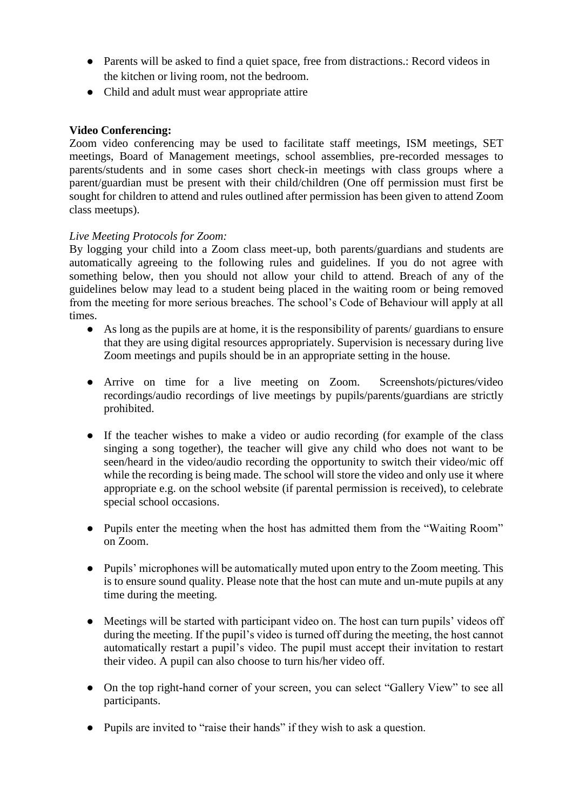- Parents will be asked to find a quiet space, free from distractions.: Record videos in the kitchen or living room, not the bedroom.
- Child and adult must wear appropriate attire

### **Video Conferencing:**

Zoom video conferencing may be used to facilitate staff meetings, ISM meetings, SET meetings, Board of Management meetings, school assemblies, pre-recorded messages to parents/students and in some cases short check-in meetings with class groups where a parent/guardian must be present with their child/children (One off permission must first be sought for children to attend and rules outlined after permission has been given to attend Zoom class meetups).

### *Live Meeting Protocols for Zoom:*

By logging your child into a Zoom class meet-up, both parents/guardians and students are automatically agreeing to the following rules and guidelines. If you do not agree with something below, then you should not allow your child to attend. Breach of any of the guidelines below may lead to a student being placed in the waiting room or being removed from the meeting for more serious breaches. The school's Code of Behaviour will apply at all times.

- As long as the pupils are at home, it is the responsibility of parents/ guardians to ensure that they are using digital resources appropriately. Supervision is necessary during live Zoom meetings and pupils should be in an appropriate setting in the house.
- Arrive on time for a live meeting on Zoom. Screenshots/pictures/video recordings/audio recordings of live meetings by pupils/parents/guardians are strictly prohibited.
- If the teacher wishes to make a video or audio recording (for example of the class singing a song together), the teacher will give any child who does not want to be seen/heard in the video/audio recording the opportunity to switch their video/mic off while the recording is being made. The school will store the video and only use it where appropriate e.g. on the school website (if parental permission is received), to celebrate special school occasions.
- Pupils enter the meeting when the host has admitted them from the "Waiting Room" on Zoom.
- Pupils' microphones will be automatically muted upon entry to the Zoom meeting. This is to ensure sound quality. Please note that the host can mute and un-mute pupils at any time during the meeting.
- Meetings will be started with participant video on. The host can turn pupils' videos off during the meeting. If the pupil's video is turned off during the meeting, the host cannot automatically restart a pupil's video. The pupil must accept their invitation to restart their video. A pupil can also choose to turn his/her video off.
- On the top right-hand corner of your screen, you can select "Gallery View" to see all participants.
- Pupils are invited to "raise their hands" if they wish to ask a question.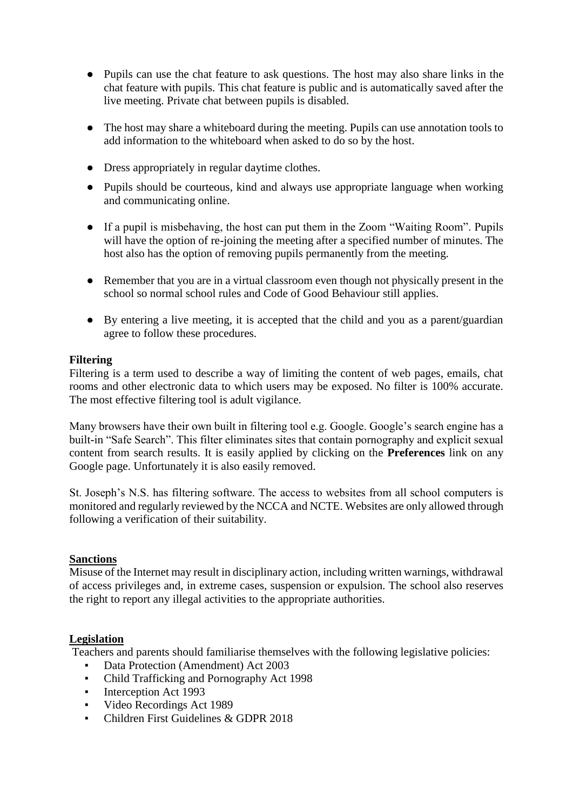- Pupils can use the chat feature to ask questions. The host may also share links in the chat feature with pupils. This chat feature is public and is automatically saved after the live meeting. Private chat between pupils is disabled.
- The host may share a whiteboard during the meeting. Pupils can use annotation tools to add information to the whiteboard when asked to do so by the host.
- Dress appropriately in regular daytime clothes.
- Pupils should be courteous, kind and always use appropriate language when working and communicating online.
- If a pupil is misbehaving, the host can put them in the Zoom "Waiting Room". Pupils will have the option of re-joining the meeting after a specified number of minutes. The host also has the option of removing pupils permanently from the meeting.
- Remember that you are in a virtual classroom even though not physically present in the school so normal school rules and Code of Good Behaviour still applies.
- By entering a live meeting, it is accepted that the child and you as a parent/guardian agree to follow these procedures.

### **Filtering**

Filtering is a term used to describe a way of limiting the content of web pages, emails, chat rooms and other electronic data to which users may be exposed. No filter is 100% accurate. The most effective filtering tool is adult vigilance.

Many browsers have their own built in filtering tool e.g. Google. Google's search engine has a built-in "Safe Search". This filter eliminates sites that contain pornography and explicit sexual content from search results. It is easily applied by clicking on the **Preferences** link on any Google page. Unfortunately it is also easily removed.

St. Joseph's N.S. has filtering software. The access to websites from all school computers is monitored and regularly reviewed by the NCCA and NCTE. Websites are only allowed through following a verification of their suitability.

# **Sanctions**

Misuse of the Internet may result in disciplinary action, including written warnings, withdrawal of access privileges and, in extreme cases, suspension or expulsion. The school also reserves the right to report any illegal activities to the appropriate authorities.

# **Legislation**

Teachers and parents should familiarise themselves with the following legislative policies:

- Data Protection (Amendment) Act 2003
- Child Trafficking and Pornography Act 1998
- Interception Act 1993
- Video Recordings Act 1989
- Children First Guidelines & GDPR 2018